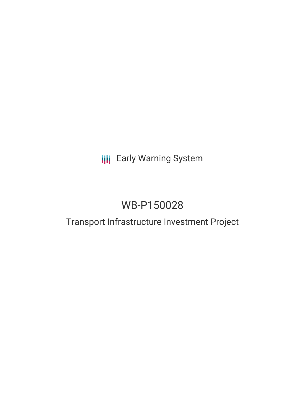## **III** Early Warning System

# WB-P150028

### Transport Infrastructure Investment Project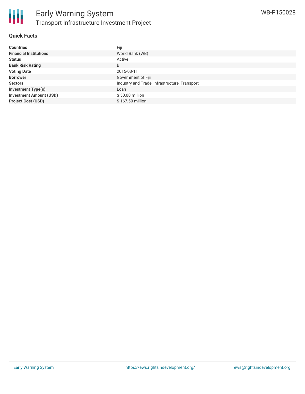

#### **Quick Facts**

| <b>Countries</b>               | Fiji                                          |
|--------------------------------|-----------------------------------------------|
| <b>Financial Institutions</b>  | World Bank (WB)                               |
| <b>Status</b>                  | Active                                        |
| <b>Bank Risk Rating</b>        | B                                             |
| <b>Voting Date</b>             | 2015-03-11                                    |
| <b>Borrower</b>                | Government of Fiji                            |
| <b>Sectors</b>                 | Industry and Trade, Infrastructure, Transport |
| <b>Investment Type(s)</b>      | Loan                                          |
| <b>Investment Amount (USD)</b> | \$50.00 million                               |
| <b>Project Cost (USD)</b>      | \$167.50 million                              |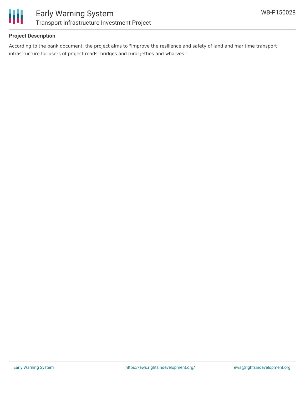

#### **Project Description**

According to the bank document, the project aims to "improve the resilience and safety of land and maritime transport infrastructure for users of project roads, bridges and rural jetties and wharves."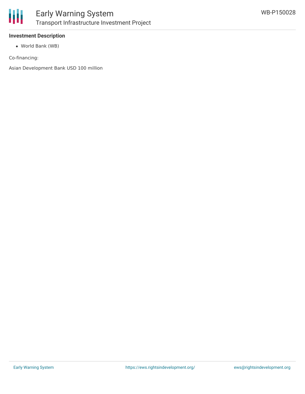

### **Investment Description**

World Bank (WB)

Co-financing:

Asian Development Bank USD 100 million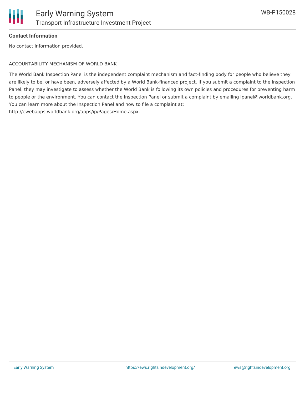

#### **Contact Information**

No contact information provided.

#### ACCOUNTABILITY MECHANISM OF WORLD BANK

The World Bank Inspection Panel is the independent complaint mechanism and fact-finding body for people who believe they are likely to be, or have been, adversely affected by a World Bank-financed project. If you submit a complaint to the Inspection Panel, they may investigate to assess whether the World Bank is following its own policies and procedures for preventing harm to people or the environment. You can contact the Inspection Panel or submit a complaint by emailing ipanel@worldbank.org. You can learn more about the Inspection Panel and how to file a complaint at: http://ewebapps.worldbank.org/apps/ip/Pages/Home.aspx.